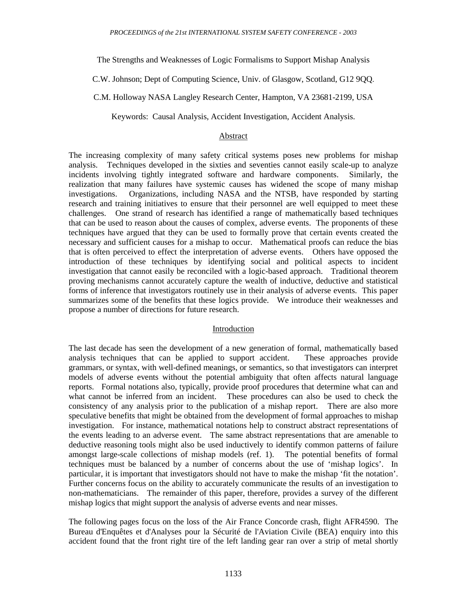The Strengths and Weaknesses of Logic Formalisms to Support Mishap Analysis

C.W. Johnson; Dept of Computing Science, Univ. of Glasgow, Scotland, G12 9QQ.

C.M. Holloway NASA Langley Research Center, Hampton, VA 23681-2199, USA

Keywords: Causal Analysis, Accident Investigation, Accident Analysis.

### Abstract

The increasing complexity of many safety critical systems poses new problems for mishap analysis. Techniques developed in the sixties and seventies cannot easily scale-up to analyze incidents involving tightly integrated software and hardware components. Similarly, the realization that many failures have systemic causes has widened the scope of many mishap investigations. Organizations, including NASA and the NTSB, have responded by starting research and training initiatives to ensure that their personnel are well equipped to meet these challenges. One strand of research has identified a range of mathematically based techniques that can be used to reason about the causes of complex, adverse events. The proponents of these techniques have argued that they can be used to formally prove that certain events created the necessary and sufficient causes for a mishap to occur. Mathematical proofs can reduce the bias that is often perceived to effect the interpretation of adverse events. Others have opposed the introduction of these techniques by identifying social and political aspects to incident investigation that cannot easily be reconciled with a logic-based approach. Traditional theorem proving mechanisms cannot accurately capture the wealth of inductive, deductive and statistical forms of inference that investigators routinely use in their analysis of adverse events. This paper summarizes some of the benefits that these logics provide. We introduce their weaknesses and propose a number of directions for future research.

# Introduction

The last decade has seen the development of a new generation of formal, mathematically based analysis techniques that can be applied to support accident. These approaches provide grammars, or syntax, with well-defined meanings, or semantics, so that investigators can interpret models of adverse events without the potential ambiguity that often affects natural language reports. Formal notations also, typically, provide proof procedures that determine what can and what cannot be inferred from an incident. These procedures can also be used to check the These procedures can also be used to check the consistency of any analysis prior to the publication of a mishap report. There are also more speculative benefits that might be obtained from the development of formal approaches to mishap investigation. For instance, mathematical notations help to construct abstract representations of the events leading to an adverse event. The same abstract representations that are amenable to deductive reasoning tools might also be used inductively to identify common patterns of failure amongst large-scale collections of mishap models (ref. 1). The potential benefits of formal techniques must be balanced by a number of concerns about the use of 'mishap logics'. In particular, it is important that investigators should not have to make the mishap 'fit the notation'. Further concerns focus on the ability to accurately communicate the results of an investigation to non-mathematicians. The remainder of this paper, therefore, provides a survey of the different mishap logics that might support the analysis of adverse events and near misses.

The following pages focus on the loss of the Air France Concorde crash, flight AFR4590. The Bureau d'Enquêtes et d'Analyses pour la Sécurité de l'Aviation Civile (BEA) enquiry into this accident found that the front right tire of the left landing gear ran over a strip of metal shortly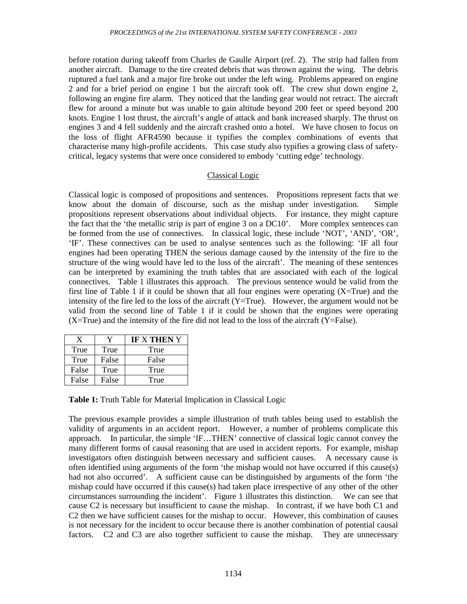before rotation during takeoff from Charles de Gaulle Airport (ref. 2). The strip had fallen from another aircraft. Damage to the tire created debris that was thrown against the wing. The debris ruptured a fuel tank and a major fire broke out under the left wing. Problems appeared on engine 2 and for a brief period on engine 1 but the aircraft took off. The crew shut down engine 2, following an engine fire alarm. They noticed that the landing gear would not retract. The aircraft flew for around a minute but was unable to gain altitude beyond 200 feet or speed beyond 200 knots. Engine 1 lost thrust, the aircraft's angle of attack and bank increased sharply. The thrust on engines 3 and 4 fell suddenly and the aircraft crashed onto a hotel. We have chosen to focus on the loss of flight AFR4590 because it typifies the complex combinations of events that characterise many high-profile accidents. This case study also typifies a growing class of safetycritical, legacy systems that were once considered to embody 'cutting edge' technology.

# Classical Logic

Classical logic is composed of propositions and sentences. Propositions represent facts that we know about the domain of discourse, such as the mishap under investigation. Simple propositions represent observations about individual objects. For instance, they might capture the fact that the 'the metallic strip is part of engine 3 on a DC10'. More complex sentences can be formed from the use of connectives. In classical logic, these include 'NOT', 'AND', 'OR', 'IF'. These connectives can be used to analyse sentences such as the following: 'IF all four engines had been operating THEN the serious damage caused by the intensity of the fire to the structure of the wing would have led to the loss of the aircraft'. The meaning of these sentences can be interpreted by examining the truth tables that are associated with each of the logical connectives. Table 1 illustrates this approach. The previous sentence would be valid from the first line of Table 1 if it could be shown that all four engines were operating  $(X=True)$  and the intensity of the fire led to the loss of the aircraft  $(Y=True)$ . However, the argument would not be valid from the second line of Table 1 if it could be shown that the engines were operating  $(X=True)$  and the intensity of the fire did not lead to the loss of the aircraft  $(Y=False)$ .

| X     | v     | <b>IF X THEN Y</b> |
|-------|-------|--------------------|
| True  | True  | True               |
| True  | False | False              |
| False | True  | True               |
| False | False | True               |

**Table 1:** Truth Table for Material Implication in Classical Logic

The previous example provides a simple illustration of truth tables being used to establish the validity of arguments in an accident report. However, a number of problems complicate this approach. In particular, the simple 'IF…THEN' connective of classical logic cannot convey the many different forms of causal reasoning that are used in accident reports. For example, mishap investigators often distinguish between necessary and sufficient causes. A necessary cause is often identified using arguments of the form 'the mishap would not have occurred if this cause(s) had not also occurred'. A sufficient cause can be distinguished by arguments of the form 'the mishap could have occurred if this cause(s) had taken place irrespective of any other of the other circumstances surrounding the incident'. Figure 1 illustrates this distinction. We can see that cause C2 is necessary but insufficient to cause the mishap. In contrast, if we have both C1 and C2 then we have sufficient causes for the mishap to occur. However, this combination of causes is not necessary for the incident to occur because there is another combination of potential causal factors. C2 and C3 are also together sufficient to cause the mishap. They are unnecessary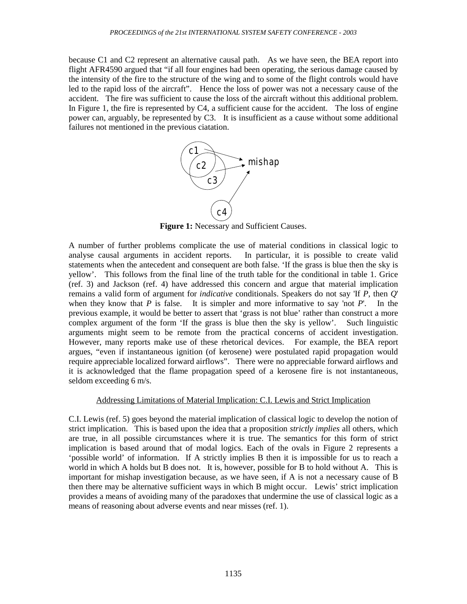because C1 and C2 represent an alternative causal path. As we have seen, the BEA report into flight AFR4590 argued that "if all four engines had been operating, the serious damage caused by the intensity of the fire to the structure of the wing and to some of the flight controls would have led to the rapid loss of the aircraft". Hence the loss of power was not a necessary cause of the accident. The fire was sufficient to cause the loss of the aircraft without this additional problem. In Figure 1, the fire is represented by C4, a sufficient cause for the accident. The loss of engine power can, arguably, be represented by C3. It is insufficient as a cause without some additional failures not mentioned in the previous ciatation.



Figure 1: Necessary and Sufficient Causes.

A number of further problems complicate the use of material conditions in classical logic to analyse causal arguments in accident reports. In particular, it is possible to create valid statements when the antecedent and consequent are both false. 'If the grass is blue then the sky is yellow'. This follows from the final line of the truth table for the conditional in table 1. Grice (ref. 3) and Jackson (ref. 4) have addressed this concern and argue that material implication remains a valid form of argument for *indicative* conditionals. Speakers do not say 'If *P*, then *Q*' when they know that *P* is false. It is simpler and more informative to say 'not *P*'. In the previous example, it would be better to assert that 'grass is not blue' rather than construct a more complex argument of the form 'If the grass is blue then the sky is yellow'. Such linguistic arguments might seem to be remote from the practical concerns of accident investigation. However, many reports make use of these rhetorical devices. For example, the BEA report argues, "even if instantaneous ignition (of kerosene) were postulated rapid propagation would require appreciable localized forward airflows". There were no appreciable forward airflows and it is acknowledged that the flame propagation speed of a kerosene fire is not instantaneous, seldom exceeding 6 m/s.

## Addressing Limitations of Material Implication: C.I. Lewis and Strict Implication

C.I. Lewis (ref. 5) goes beyond the material implication of classical logic to develop the notion of strict implication. This is based upon the idea that a proposition *strictly implies* all others, which are true, in all possible circumstances where it is true. The semantics for this form of strict implication is based around that of modal logics. Each of the ovals in Figure 2 represents a 'possible world' of information. If A strictly implies B then it is impossible for us to reach a world in which A holds but B does not. It is, however, possible for B to hold without A. This is important for mishap investigation because, as we have seen, if A is not a necessary cause of B then there may be alternative sufficient ways in which B might occur. Lewis' strict implication provides a means of avoiding many of the paradoxes that undermine the use of classical logic as a means of reasoning about adverse events and near misses (ref. 1).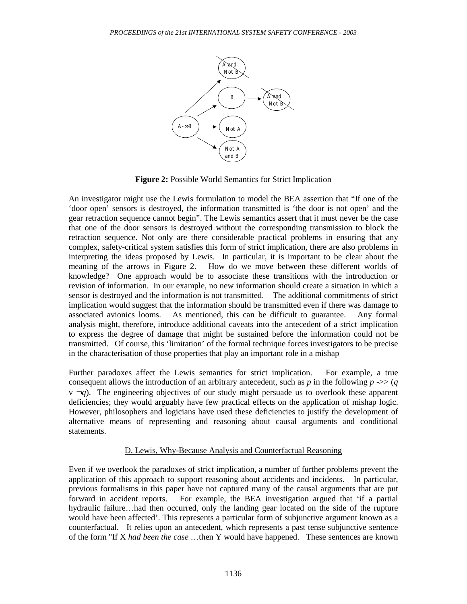

**Figure 2:** Possible World Semantics for Strict Implication

An investigator might use the Lewis formulation to model the BEA assertion that "If one of the 'door open' sensors is destroyed, the information transmitted is 'the door is not open' and the gear retraction sequence cannot begin". The Lewis semantics assert that it must never be the case that one of the door sensors is destroyed without the corresponding transmission to block the retraction sequence. Not only are there considerable practical problems in ensuring that any complex, safety-critical system satisfies this form of strict implication, there are also problems in interpreting the ideas proposed by Lewis. In particular, it is important to be clear about the meaning of the arrows in Figure 2. How do we move between these different worlds of knowledge? One approach would be to associate these transitions with the introduction or revision of information. In our example, no new information should create a situation in which a sensor is destroyed and the information is not transmitted. The additional commitments of strict implication would suggest that the information should be transmitted even if there was damage to associated avionics looms. As mentioned, this can be difficult to guarantee. Any formal analysis might, therefore, introduce additional caveats into the antecedent of a strict implication to express the degree of damage that might be sustained before the information could not be transmitted. Of course, this 'limitation' of the formal technique forces investigators to be precise in the characterisation of those properties that play an important role in a mishap

Further paradoxes affect the Lewis semantics for strict implication. For example, a true consequent allows the introduction of an arbitrary antecedent, such as *p* in the following  $p \rightarrow > (q$  $v_{\text{eq}}$ . The engineering objectives of our study might persuade us to overlook these apparent deficiencies; they would arguably have few practical effects on the application of mishap logic. However, philosophers and logicians have used these deficiencies to justify the development of alternative means of representing and reasoning about causal arguments and conditional statements.

## D. Lewis, Why-Because Analysis and Counterfactual Reasoning

Even if we overlook the paradoxes of strict implication, a number of further problems prevent the application of this approach to support reasoning about accidents and incidents. In particular, previous formalisms in this paper have not captured many of the causal arguments that are put forward in accident reports. For example, the BEA investigation argued that 'if a partial hydraulic failure…had then occurred, only the landing gear located on the side of the rupture would have been affected'. This represents a particular form of subjunctive argument known as a counterfactual. It relies upon an antecedent, which represents a past tense subjunctive sentence of the form "If X *had been the case* …then Y would have happened. These sentences are known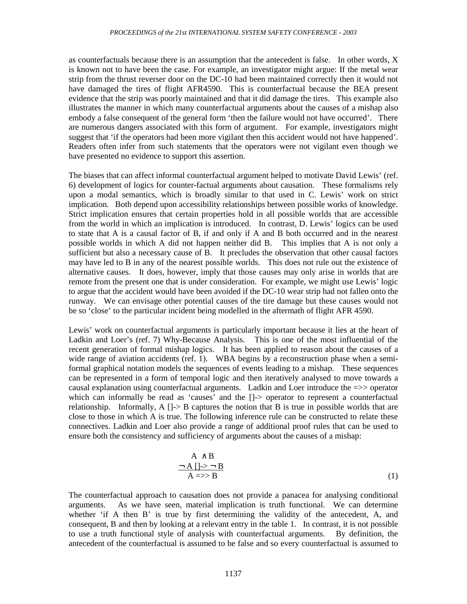as counterfactuals because there is an assumption that the antecedent is false. In other words, X is known not to have been the case. For example, an investigator might argue: If the metal wear strip from the thrust reverser door on the DC-10 had been maintained correctly then it would not have damaged the tires of flight AFR4590. This is counterfactual because the BEA present evidence that the strip was poorly maintained and that it did damage the tires. This example also illustrates the manner in which many counterfactual arguments about the causes of a mishap also embody a false consequent of the general form 'then the failure would not have occurred'. There are numerous dangers associated with this form of argument. For example, investigators might suggest that 'if the operators had been more vigilant then this accident would not have happened'. Readers often infer from such statements that the operators were not vigilant even though we have presented no evidence to support this assertion.

The biases that can affect informal counterfactual argument helped to motivate David Lewis' (ref. 6) development of logics for counter-factual arguments about causation. These formalisms rely upon a modal semantics, which is broadly similar to that used in C. Lewis' work on strict implication. Both depend upon accessibility relationships between possible works of knowledge. Strict implication ensures that certain properties hold in all possible worlds that are accessible from the world in which an implication is introduced. In contrast, D. Lewis' logics can be used to state that A is a causal factor of B, if and only if A and B both occurred and in the nearest possible worlds in which A did not happen neither did B. This implies that A is not only a sufficient but also a necessary cause of B. It precludes the observation that other causal factors may have led to B in any of the nearest possible worlds. This does not rule out the existence of alternative causes. It does, however, imply that those causes may only arise in worlds that are remote from the present one that is under consideration. For example, we might use Lewis' logic to argue that the accident would have been avoided if the DC-10 wear strip had not fallen onto the runway. We can envisage other potential causes of the tire damage but these causes would not be so 'close' to the particular incident being modelled in the aftermath of flight AFR 4590.

Lewis' work on counterfactual arguments is particularly important because it lies at the heart of Ladkin and Loer's (ref. 7) Why-Because Analysis. This is one of the most influential of the recent generation of formal mishap logics. It has been applied to reason about the causes of a wide range of aviation accidents (ref. 1). WBA begins by a reconstruction phase when a semiformal graphical notation models the sequences of events leading to a mishap. These sequences can be represented in a form of temporal logic and then iteratively analysed to move towards a causal explanation using counterfactual arguments. Ladkin and Loer introduce the =>> operator which can informally be read as 'causes' and the []-> operator to represent a counterfactual relationship. Informally,  $A \left( \right) > B$  captures the notion that B is true in possible worlds that are close to those in which A is true. The following inference rule can be constructed to relate these connectives. Ladkin and Loer also provide a range of additional proof rules that can be used to ensure both the consistency and sufficiency of arguments about the causes of a mishap:

$$
A \wedge B
$$
  
\n
$$
\neg A \mid \neg \geq \neg B
$$
  
\n
$$
A \Rightarrow B
$$
 (1)

The counterfactual approach to causation does not provide a panacea for analysing conditional arguments. As we have seen, material implication is truth functional. We can determine whether 'if A then B' is true by first determining the validity of the antecedent, A, and consequent, B and then by looking at a relevant entry in the table 1. In contrast, it is not possible to use a truth functional style of analysis with counterfactual arguments. By definition, the antecedent of the counterfactual is assumed to be false and so every counterfactual is assumed to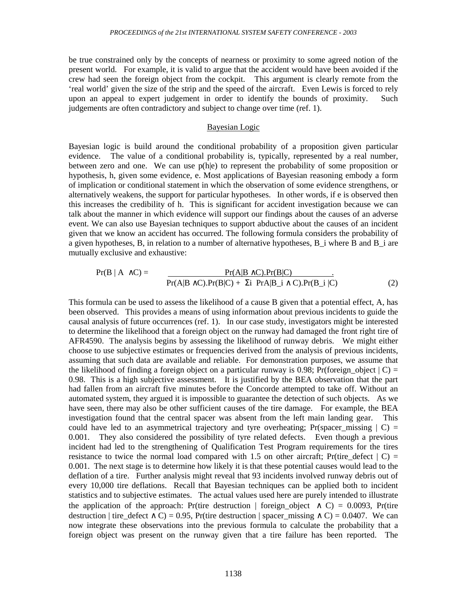be true constrained only by the concepts of nearness or proximity to some agreed notion of the present world. For example, it is valid to argue that the accident would have been avoided if the crew had seen the foreign object from the cockpit. This argument is clearly remote from the 'real world' given the size of the strip and the speed of the aircraft. Even Lewis is forced to rely upon an appeal to expert judgement in order to identify the bounds of proximity. Such judgements are often contradictory and subject to change over time (ref. 1).

#### Bayesian Logic

Bayesian logic is build around the conditional probability of a proposition given particular evidence. The value of a conditional probability is, typically, represented by a real number, between zero and one. We can use p(h|e) to represent the probability of some proposition or hypothesis, h, given some evidence, e. Most applications of Bayesian reasoning embody a form of implication or conditional statement in which the observation of some evidence strengthens, or alternatively weakens, the support for particular hypotheses. In other words, if e is observed then this increases the credibility of h. This is significant for accident investigation because we can talk about the manner in which evidence will support our findings about the causes of an adverse event. We can also use Bayesian techniques to support abductive about the causes of an incident given that we know an accident has occurred. The following formula considers the probability of a given hypotheses, B, in relation to a number of alternative hypotheses, B  $\bar{i}$  where B and B  $\bar{i}$  are mutually exclusive and exhaustive:

$$
Pr(B | A \wedge C) = \frac{Pr(A|B \wedge C).Pr(B|C)}{Pr(A|B \wedge C).Pr(B|C) + \Sigma i Pr(A|B_i \wedge C).Pr(B_i | C)}
$$
(2)

This formula can be used to assess the likelihood of a cause B given that a potential effect, A, has been observed. This provides a means of using information about previous incidents to guide the causal analysis of future occurrences (ref. 1). In our case study, investigators might be interested to determine the likelihood that a foreign object on the runway had damaged the front right tire of AFR4590. The analysis begins by assessing the likelihood of runway debris. We might either choose to use subjective estimates or frequencies derived from the analysis of previous incidents, assuming that such data are available and reliable. For demonstration purposes, we assume that the likelihood of finding a foreign object on a particular runway is 0.98; Pr(foreign object  $| C$ ) = 0.98. This is a high subjective assessment. It is justified by the BEA observation that the part had fallen from an aircraft five minutes before the Concorde attempted to take off. Without an automated system, they argued it is impossible to guarantee the detection of such objects. As we have seen, there may also be other sufficient causes of the tire damage. For example, the BEA investigation found that the central spacer was absent from the left main landing gear. This could have led to an asymmetrical trajectory and tyre overheating; Pr(spacer\_missing  $|C|$  = 0.001. They also considered the possibility of tyre related defects. Even though a previous incident had led to the strengthening of Qualification Test Program requirements for the tires resistance to twice the normal load compared with 1.5 on other aircraft; Pr(tire\_defect  $\mid C$ ) = 0.001. The next stage is to determine how likely it is that these potential causes would lead to the deflation of a tire. Further analysis might reveal that 93 incidents involved runway debris out of every 10,000 tire deflations. Recall that Bayesian techniques can be applied both to incident statistics and to subjective estimates. The actual values used here are purely intended to illustrate the application of the approach: Pr(tire destruction | foreign object  $\wedge$  C) = 0.0093, Pr(tire destruction | tire\_defect ∧ C) = 0.95, Pr(tire destruction | spacer\_missing ∧ C) = 0.0407. We can now integrate these observations into the previous formula to calculate the probability that a foreign object was present on the runway given that a tire failure has been reported. The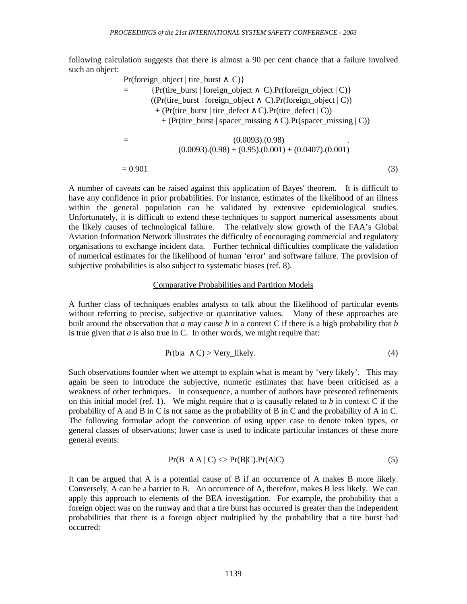following calculation suggests that there is almost a 90 per cent chance that a failure involved such an object:

$$
Pr(foreign\_object | tire\_burst \land C) \}
$$
\n
$$
= \frac{\{Pr(tire\_burst | foreign\_object \land C).Pr(foreign\_object | C)\}}{((Pr(tire\_burst | foreign\_object \land C).Pr(foreign\_object | C)) + (Pr(tire\_burst | tire\_defect \land C).Pr(tire\_defect | C)) + (Pr(tire\_burst | spacecraft | spacecraft | or C).Pr(space\_missing | C)) + (Pr(tire\_burst | spacecraft | or C).Pr(space\_missing | C))\}
$$
\n
$$
= \frac{(0.0093)(0.98)}{(0.0093)(0.98) + (0.95)(0.001) + (0.0407)(0.001)}
$$
\n
$$
= 0.901 \tag{3}
$$

A number of caveats can be raised against this application of Bayes' theorem. It is difficult to have any confidence in prior probabilities. For instance, estimates of the likelihood of an illness within the general population can be validated by extensive epidemiological studies. Unfortunately, it is difficult to extend these techniques to support numerical assessments about the likely causes of technological failure. The relatively slow growth of the FAA's Global Aviation Information Network illustrates the difficulty of encouraging commercial and regulatory organisations to exchange incident data. Further technical difficulties complicate the validation of numerical estimates for the likelihood of human 'error' and software failure. The provision of subjective probabilities is also subject to systematic biases (ref. 8).

### Comparative Probabilities and Partition Models

A further class of techniques enables analysts to talk about the likelihood of particular events without referring to precise, subjective or quantitative values. Many of these approaches are built around the observation that *a* may cause *b* in a context C if there is a high probability that *b* is true given that  $a$  is also true in  $C$ . In other words, we might require that:

$$
Pr(b|a \wedge C) > Very\_likely. \tag{4}
$$

Such observations founder when we attempt to explain what is meant by 'very likely'. This may again be seen to introduce the subjective, numeric estimates that have been criticised as a weakness of other techniques. In consequence, a number of authors have presented refinements on this initial model (ref. 1). We might require that *a* is causally related to *b* in context C if the probability of A and B in C is not same as the probability of B in C and the probability of A in C. The following formulae adopt the convention of using upper case to denote token types, or general classes of observations; lower case is used to indicate particular instances of these more general events:

$$
Pr(B \wedge A \mid C) \ll Pr(B|C). Pr(A|C)
$$
\n<sup>(5)</sup>

It can be argued that A is a potential cause of B if an occurrence of A makes B more likely. Conversely, A can be a barrier to B. An occurrence of A, therefore, makes B less likely. We can apply this approach to elements of the BEA investigation. For example, the probability that a foreign object was on the runway and that a tire burst has occurred is greater than the independent probabilities that there is a foreign object multiplied by the probability that a tire burst had occurred: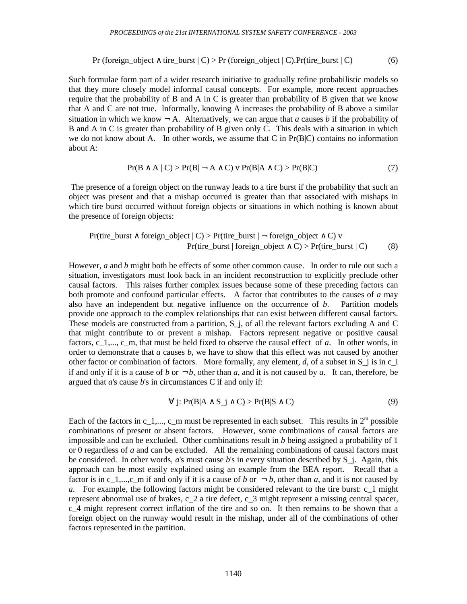$$
Pr(foreign\_object \land tire\_burst \mid C) > Pr(foreign\_object \mid C).Pr(tire\_burst \mid C)
$$
\n(6)

Such formulae form part of a wider research initiative to gradually refine probabilistic models so that they more closely model informal causal concepts. For example, more recent approaches require that the probability of B and A in C is greater than probability of B given that we know that A and C are not true. Informally, knowing A increases the probability of B above a similar situation in which we know  $\neg A$ . Alternatively, we can argue that *a* causes *b* if the probability of B and A in C is greater than probability of B given only C. This deals with a situation in which we do not know about A. In other words, we assume that C in  $Pr(B|C)$  contains no information about A:

$$
Pr(B \wedge A \mid C) > Pr(B \mid \neg A \wedge C) \vee Pr(B \mid A \wedge C) > Pr(B \mid C)
$$
\n<sup>(7)</sup>

 The presence of a foreign object on the runway leads to a tire burst if the probability that such an object was present and that a mishap occurred is greater than that associated with mishaps in which tire burst occurred without foreign objects or situations in which nothing is known about the presence of foreign objects:

$$
Pr(\text{tire\_burst} \land \text{foreign\_object} \mid C) > Pr(\text{tire\_burst} \mid \neg \text{foreign\_object} \land C) \lor
$$
\n
$$
Pr(\text{tire\_burst} \mid \text{foreign\_object} \land C) > Pr(\text{tire\_burst} \mid C) \tag{8}
$$

However, *a* and *b* might both be effects of some other common cause. In order to rule out such a situation, investigators must look back in an incident reconstruction to explicitly preclude other causal factors. This raises further complex issues because some of these preceding factors can both promote and confound particular effects. A factor that contributes to the causes of *a* may also have an independent but negative influence on the occurrence of *b*. Partition models provide one approach to the complex relationships that can exist between different causal factors. These models are constructed from a partition,  $S_i$ , of all the relevant factors excluding A and C that might contribute to or prevent a mishap. Factors represent negative or positive causal factors, c\_1,..., c\_m, that must be held fixed to observe the causal effect of *a*. In other words, in order to demonstrate that *a* causes *b*, we have to show that this effect was not caused by another other factor or combination of factors. More formally, any element, *d*, of a subset in S\_j is in c\_i if and only if it is a cause of *b* or  $\neg b$ , other than *a*, and it is not caused by *a*. It can, therefore, be argued that *a*'s cause *b*'s in circumstances C if and only if:

$$
\forall j: Pr(B|A \wedge S_j \wedge C) > Pr(B|S \wedge C)
$$
\n(9)

Each of the factors in c\_1,..., c\_m must be represented in each subset. This results in  $2^m$  possible combinations of present or absent factors. However, some combinations of causal factors are impossible and can be excluded. Other combinations result in *b* being assigned a probability of 1 or 0 regardless of *a* and can be excluded. All the remaining combinations of causal factors must be considered. In other words, *a*'s must cause *b*'s in every situation described by S\_j. Again, this approach can be most easily explained using an example from the BEA report. Recall that a factor is in c<sub>1</sub>,...,c<sub>\_</sub>m if and only if it is a cause of *b* or  $\neg$  *b*, other than *a*, and it is not caused by *a*. For example, the following factors might be considered relevant to the tire burst: c\_1 might represent abnormal use of brakes, c\_2 a tire defect, c\_3 might represent a missing central spacer, c\_4 might represent correct inflation of the tire and so on. It then remains to be shown that a foreign object on the runway would result in the mishap, under all of the combinations of other factors represented in the partition.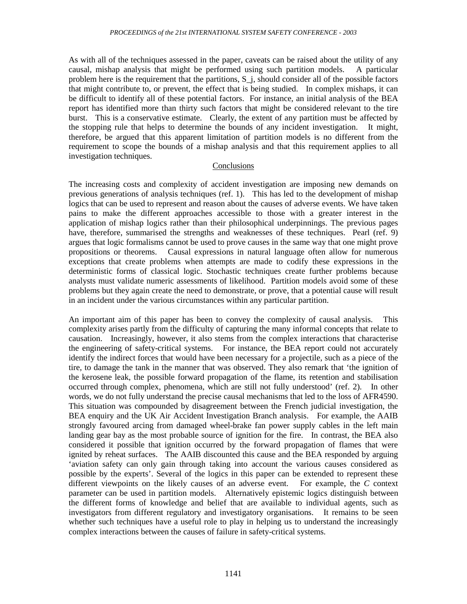As with all of the techniques assessed in the paper, caveats can be raised about the utility of any causal, mishap analysis that might be performed using such partition models. A particular problem here is the requirement that the partitions, S\_j, should consider all of the possible factors that might contribute to, or prevent, the effect that is being studied. In complex mishaps, it can be difficult to identify all of these potential factors. For instance, an initial analysis of the BEA report has identified more than thirty such factors that might be considered relevant to the tire burst. This is a conservative estimate. Clearly, the extent of any partition must be affected by the stopping rule that helps to determine the bounds of any incident investigation. It might, therefore, be argued that this apparent limitation of partition models is no different from the requirement to scope the bounds of a mishap analysis and that this requirement applies to all investigation techniques.

### Conclusions

The increasing costs and complexity of accident investigation are imposing new demands on previous generations of analysis techniques (ref. 1). This has led to the development of mishap logics that can be used to represent and reason about the causes of adverse events. We have taken pains to make the different approaches accessible to those with a greater interest in the application of mishap logics rather than their philosophical underpinnings. The previous pages have, therefore, summarised the strengths and weaknesses of these techniques. Pearl (ref. 9) argues that logic formalisms cannot be used to prove causes in the same way that one might prove propositions or theorems. Causal expressions in natural language often allow for numerous exceptions that create problems when attempts are made to codify these expressions in the deterministic forms of classical logic. Stochastic techniques create further problems because analysts must validate numeric assessments of likelihood. Partition models avoid some of these problems but they again create the need to demonstrate, or prove, that a potential cause will result in an incident under the various circumstances within any particular partition.

An important aim of this paper has been to convey the complexity of causal analysis. This complexity arises partly from the difficulty of capturing the many informal concepts that relate to causation. Increasingly, however, it also stems from the complex interactions that characterise the engineering of safety-critical systems. For instance, the BEA report could not accurately identify the indirect forces that would have been necessary for a projectile, such as a piece of the tire, to damage the tank in the manner that was observed. They also remark that 'the ignition of the kerosene leak, the possible forward propagation of the flame, its retention and stabilisation occurred through complex, phenomena, which are still not fully understood' (ref. 2). In other words, we do not fully understand the precise causal mechanisms that led to the loss of AFR4590. This situation was compounded by disagreement between the French judicial investigation, the BEA enquiry and the UK Air Accident Investigation Branch analysis. For example, the AAIB strongly favoured arcing from damaged wheel-brake fan power supply cables in the left main landing gear bay as the most probable source of ignition for the fire. In contrast, the BEA also considered it possible that ignition occurred by the forward propagation of flames that were ignited by reheat surfaces. The AAIB discounted this cause and the BEA responded by arguing 'aviation safety can only gain through taking into account the various causes considered as possible by the experts'. Several of the logics in this paper can be extended to represent these different viewpoints on the likely causes of an adverse event. For example, the *C* context parameter can be used in partition models. Alternatively epistemic logics distinguish between the different forms of knowledge and belief that are available to individual agents, such as investigators from different regulatory and investigatory organisations. It remains to be seen whether such techniques have a useful role to play in helping us to understand the increasingly complex interactions between the causes of failure in safety-critical systems.